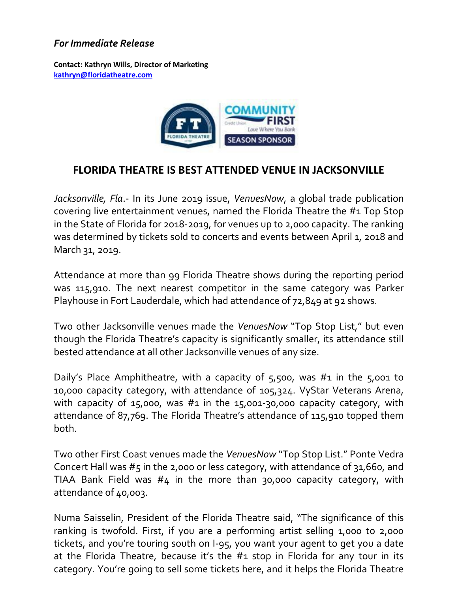## *For Immediate Release*

**Contact: Kathryn Wills, Director of Marketing [kathryn@floridatheatre.com](mailto:kathryn@floridatheatre.com)**



## **FLORIDA THEATRE IS BEST ATTENDED VENUE IN JACKSONVILLE**

*Jacksonville, Fla*.- In its June 2019 issue, *VenuesNow*, a global trade publication covering live entertainment venues, named the Florida Theatre the #1 Top Stop in the State of Florida for 2018-2019, for venues up to 2,000 capacity. The ranking was determined by tickets sold to concerts and events between April 1, 2018 and March 31, 2019.

Attendance at more than 99 Florida Theatre shows during the reporting period was 115,910. The next nearest competitor in the same category was Parker Playhouse in Fort Lauderdale, which had attendance of 72,849 at 92 shows.

Two other Jacksonville venues made the *VenuesNow* "Top Stop List," but even though the Florida Theatre's capacity is significantly smaller, its attendance still bested attendance at all other Jacksonville venues of any size.

Daily's Place Amphitheatre, with a capacity of 5,500, was #1 in the 5,001 to 10,000 capacity category, with attendance of 105,324. VyStar Veterans Arena, with capacity of 15,000, was  $#1$  in the 15,001-30,000 capacity category, with attendance of 87,769. The Florida Theatre's attendance of 115,910 topped them both.

Two other First Coast venues made the *VenuesNow* "Top Stop List." Ponte Vedra Concert Hall was #5 in the 2,000 or less category, with attendance of 31,660, and TIAA Bank Field was #4 in the more than 30,000 capacity category, with attendance of 40,003.

Numa Saisselin, President of the Florida Theatre said, "The significance of this ranking is twofold. First, if you are a performing artist selling 1,000 to 2,000 tickets, and you're touring south on I-95, you want your agent to get you a date at the Florida Theatre, because it's the #1 stop in Florida for any tour in its category. You're going to sell some tickets here, and it helps the Florida Theatre